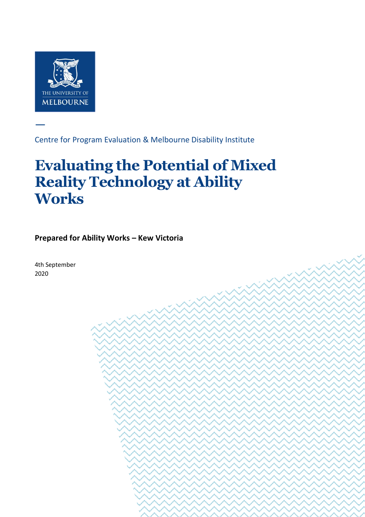

—

Centre for Program Evaluation & Melbourne Disability Institute

Centre for Program Evaluation Availability Institute institution and Disability Institute institute in the Eva

Potential of Mixed Reality Technology at Ability Works Page 1 of 11

# **Evaluating the Potential of Mixed Reality Technology at Ability Works**

**Prepared for Ability Works – Kew Victoria**

4th September 2020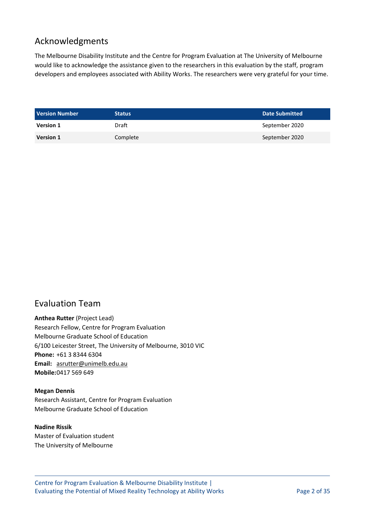# Acknowledgments

The Melbourne Disability Institute and the Centre for Program Evaluation at The University of Melbourne would like to acknowledge the assistance given to the researchers in this evaluation by the staff, program developers and employees associated with Ability Works. The researchers were very grateful for your time.

<span id="page-1-0"></span>

| <b>Version Number</b> | <b>Status</b> | Date Submitted |
|-----------------------|---------------|----------------|
| <b>Version 1</b>      | Draft         | September 2020 |
| <b>Version 1</b>      | Complete      | September 2020 |

# Evaluation Team

**Anthea Rutter** (Project Lead) Research Fellow, Centre for Program Evaluation Melbourne Graduate School of Education 6/100 Leicester Street, The University of Melbourne, 3010 VIC **Phone:** +61 3 8344 6304 **Email:** asrutter@unimelb.edu.au **Mobile:**0417 569 649

#### **Megan Dennis** Research Assistant, Centre for Program Evaluation Melbourne Graduate School of Education

#### **Nadine Rissik**  Master of Evaluation student The University of Melbourne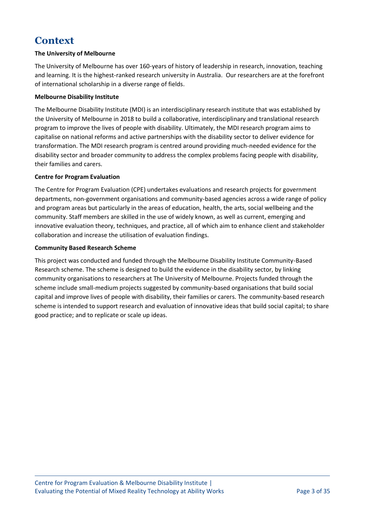# **Context**

#### **The University of Melbourne**

The University of Melbourne has over 160-years of history of leadership in research, innovation, teaching and learning. It is the highest-ranked research university in Australia. Our researchers are at the forefront of international scholarship in a diverse range of fields.

#### **Melbourne Disability Institute**

The Melbourne Disability Institute (MDI) is an interdisciplinary research institute that was established by the University of Melbourne in 2018 to build a collaborative, interdisciplinary and translational research program to improve the lives of people with disability. Ultimately, the MDI research program aims to capitalise on national reforms and active partnerships with the disability sector to deliver evidence for transformation. The MDI research program is centred around providing much-needed evidence for the disability sector and broader community to address the complex problems facing people with disability, their families and carers.

#### **Centre for Program Evaluation**

The Centre for Program Evaluation (CPE) undertakes evaluations and research projects for government departments, non-government organisations and community-based agencies across a wide range of policy and program areas but particularly in the areas of education, health, the arts, social wellbeing and the community. Staff members are skilled in the use of widely known, as well as current, emerging and innovative evaluation theory, techniques, and practice, all of which aim to enhance client and stakeholder collaboration and increase the utilisation of evaluation findings.

#### **Community Based Research Scheme**

This project was conducted and funded through the Melbourne Disability Institute Community-Based Research scheme. The scheme is designed to build the evidence in the disability sector, by linking community organisations to researchers at The University of Melbourne. Projects funded through the scheme include small-medium projects suggested by community-based organisations that build social capital and improve lives of people with disability, their families or carers. The community-based research scheme is intended to support research and evaluation of innovative ideas that build social capital; to share good practice; and to replicate or scale up ideas.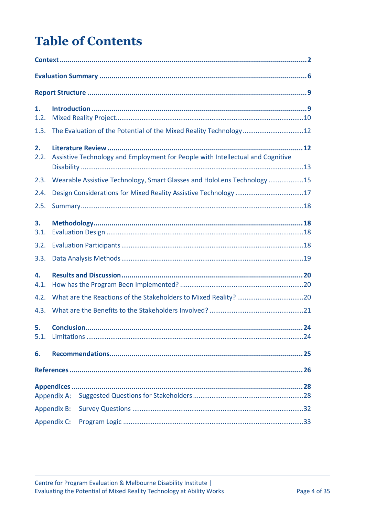# **Table of Contents**

| 1.<br>1.2. |                                                                                |  |
|------------|--------------------------------------------------------------------------------|--|
| 1.3.       | The Evaluation of the Potential of the Mixed Reality Technology12              |  |
| 2.<br>2.2. | Assistive Technology and Employment for People with Intellectual and Cognitive |  |
| 2.3.       | Wearable Assistive Technology, Smart Glasses and HoloLens Technology 15        |  |
| 2.4.       | Design Considerations for Mixed Reality Assistive Technology 17                |  |
| 2.5.       |                                                                                |  |
| 3.<br>3.1. |                                                                                |  |
| 3.2.       |                                                                                |  |
| 3.3.       |                                                                                |  |
| 4.<br>4.1. |                                                                                |  |
| 4.2.       |                                                                                |  |
| 4.3.       |                                                                                |  |
| 5.<br>5.1. |                                                                                |  |
| 6.         |                                                                                |  |
|            |                                                                                |  |
|            | <b>Appendix A:</b>                                                             |  |
|            | <b>Appendix B:</b>                                                             |  |
|            | <b>Appendix C:</b>                                                             |  |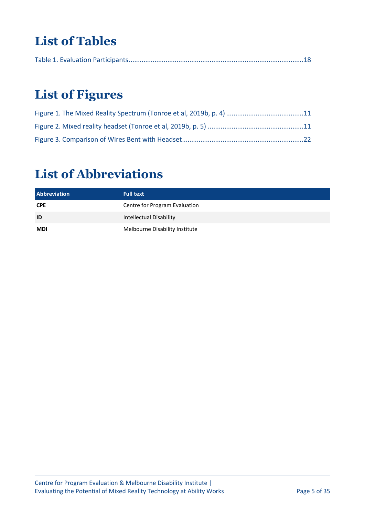# **List of Tables**

|--|--|--|--|--|

# **List of Figures**

# **List of Abbreviations**

| <b>Abbreviation</b> | <b>Full text</b>               |
|---------------------|--------------------------------|
| <b>CPE</b>          | Centre for Program Evaluation  |
| ID                  | <b>Intellectual Disability</b> |
| <b>MDI</b>          | Melbourne Disability Institute |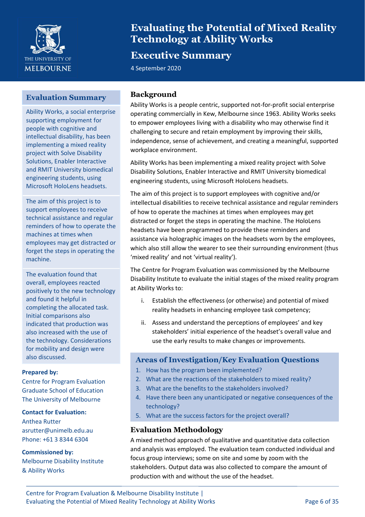

# **Evaluating the Potential of Mixed Reality Technology at Ability Works**

# **Executive Summary**

4 September 2020

### <span id="page-5-0"></span>**Evaluation Summary**

Ability Works, a social enterprise supporting employment for people with cognitive and intellectual disability, has been implementing a mixed reality project with Solve Disability Solutions, Enabler Interactive and RMIT University biomedical engineering students, using Microsoft HoloLens headsets.

The aim of this project is to support employees to receive technical assistance and regular reminders of how to operate the machines at times when employees may get distracted or forget the steps in operating the machine.

The evaluation found that overall, employees reacted positively to the new technology and found it helpful in completing the allocated task. Initial comparisons also indicated that production was also increased with the use of the technology. Considerations for mobility and design were also discussed.

#### **Prepared by:**

Centre for Program Evaluation Graduate School of Education The University of Melbourne

#### **Contact for Evaluation:**

Anthea Rutter asrutter@unimelb.edu.au Phone: +61 3 8344 6304

#### **Commissioned by:**

Melbourne Disability Institute & Ability Works

### **Background**

Ability Works is a people centric, supported not-for-profit social enterprise operating commercially in Kew, Melbourne since 1963. Ability Works seeks to empower employees living with a disability who may otherwise find it challenging to secure and retain employment by improving their skills, independence, sense of achievement, and creating a meaningful, supported workplace environment.

Ability Works has been implementing a mixed reality project with Solve Disability Solutions, Enabler Interactive and RMIT University biomedical engineering students, using Microsoft HoloLens headsets.

The aim of this project is to support employees with cognitive and/or intellectual disabilities to receive technical assistance and regular reminders of how to operate the machines at times when employees may get distracted or forget the steps in operating the machine. The HoloLens headsets have been programmed to provide these reminders and assistance via holographic images on the headsets worn by the employees, which also still allow the wearer to see their surrounding environment (thus 'mixed reality' and not 'virtual reality').

The Centre for Program Evaluation was commissioned by the Melbourne Disability Institute to evaluate the initial stages of the mixed reality program at Ability Works to:

- i. Establish the effectiveness (or otherwise) and potential of mixed reality headsets in enhancing employee task competency;
- ii. Assess and understand the perceptions of employees' and key stakeholders' initial experience of the headset's overall value and use the early results to make changes or improvements.

#### **Areas of Investigation/Key Evaluation Questions**

- 1. How has the program been implemented?
- 2. What are the reactions of the stakeholders to mixed reality?
- 3. What are the benefits to the stakeholders involved?
- 4. Have there been any unanticipated or negative consequences of the technology?
- 5. What are the success factors for the project overall?

# **Evaluation Methodology** 6.

A mixed method approach of qualitative and quantitative data collection and analysis was employed. The evaluation team conducted individual and focus group interviews; some on site and some by zoom with the stakeholders. Output data was also collected to compare the amount of production with and without the use of the headset.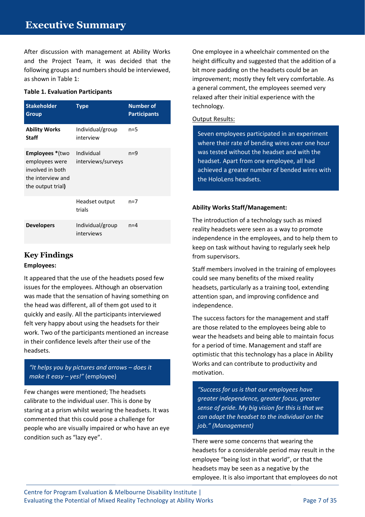After discussion with management at Ability Works and the Project Team, it was decided that the following groups and numbers should be interviewed, as shown in Table 1:

#### **Table 1. Evaluation Participants**

| <b>Stakeholder</b><br>Group                                                                            | Type                             | <b>Number of</b><br><b>Participants</b> |  |
|--------------------------------------------------------------------------------------------------------|----------------------------------|-----------------------------------------|--|
| <b>Ability Works</b><br><b>Staff</b>                                                                   | Individual/group<br>interview    | $n=5$                                   |  |
| <b>Employees</b> *(two<br>employees were<br>involved in both<br>the interview and<br>the output trial) | Individual<br>interviews/surveys | $n=9$                                   |  |
|                                                                                                        | Headset output<br>trials         | $n=7$                                   |  |
| <b>Developers</b>                                                                                      | Individual/group<br>interviews   | $n = 4$                                 |  |

#### **Key Findings Employees:**

It appeared that the use of the headsets posed few issues for the employees. Although an observation was made that the sensation of having something on the head was different, all of them got used to it quickly and easily. All the participants interviewed felt very happy about using the headsets for their work. Two of the participants mentioned an increase in their confidence levels after their use of the headsets.

### *"It helps you by pictures and arrows – does it make it easy – yes!"* (employee)

Few changes were mentioned; The headsets calibrate to the individual user. This is done by staring at a prism whilst wearing the headsets. It was commented that this could pose a challenge for people who are visually impaired or who have an eye condition such as "lazy eye".

One employee in a wheelchair commented on the height difficulty and suggested that the addition of a bit more padding on the headsets could be an improvement; mostly they felt very comfortable. As a general comment, the employees seemed very relaxed after their initial experience with the technology.

#### Output Results:

Seven employees participated in an experiment where their rate of bending wires over one hour was tested without the headset and with the headset. Apart from one employee, all had achieved a greater number of bended wires with the HoloLens headsets.

#### **Ability Works Staff/Management:**

The introduction of a technology such as mixed reality headsets were seen as a way to promote independence in the employees, and to help them to keep on task without having to regularly seek help from supervisors.

Staff members involved in the training of employees could see many benefits of the mixed reality headsets, particularly as a training tool, extending attention span, and improving confidence and independence.

The success factors for the management and staff are those related to the employees being able to wear the headsets and being able to maintain focus for a period of time. Management and staff are optimistic that this technology has a place in Ability Works and can contribute to productivity and motivation.

*"Success for us is that our employees have greater independence, greater focus, greater sense of pride. My big vision for this is that we can adapt the headset to the individual on the job." (Management)*

There were some concerns that wearing the headsets for a considerable period may result in the employee "being lost in that world", or that the headsets may be seen as a negative by the employee. It is also important that employees do not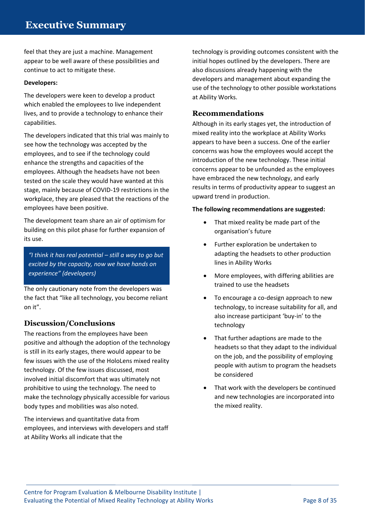feel that they are just a machine. Management appear to be well aware of these possibilities and continue to act to mitigate these.

#### **Developers:**

The developers were keen to develop a product which enabled the employees to live independent lives, and to provide a technology to enhance their capabilities.

The developers indicated that this trial was mainly to see how the technology was accepted by the employees, and to see if the technology could enhance the strengths and capacities of the employees. Although the headsets have not been tested on the scale they would have wanted at this stage, mainly because of COVID-19 restrictions in the workplace, they are pleased that the reactions of the employees have been positive.

The development team share an air of optimism for building on this pilot phase for further expansion of its use.

*"I think it has real potential – still a way to go but excited by the capacity, now we have hands on experience" (developers)*

The only cautionary note from the developers was the fact that "like all technology, you become reliant on it".

### **Discussion/Conclusions**

The reactions from the employees have been positive and although the adoption of the technology is still in its early stages, there would appear to be few issues with the use of the HoloLens mixed reality technology. Of the few issues discussed, most involved initial discomfort that was ultimately not prohibitive to using the technology. The need to make the technology physically accessible for various body types and mobilities was also noted.

The interviews and quantitative data from employees, and interviews with developers and staff at Ability Works all indicate that the

technology is providing outcomes consistent with the initial hopes outlined by the developers. There are also discussions already happening with the developers and management about expanding the use of the technology to other possible workstations at Ability Works.

### **Recommendations**

Although in its early stages yet, the introduction of mixed reality into the workplace at Ability Works appears to have been a success. One of the earlier concerns was how the employees would accept the introduction of the new technology. These initial concerns appear to be unfounded as the employees have embraced the new technology, and early results in terms of productivity appear to suggest an upward trend in production.

#### **The following recommendations are suggested:**

- That mixed reality be made part of the organisation's future
- Further exploration be undertaken to adapting the headsets to other production lines in Ability Works
- More employees, with differing abilities are trained to use the headsets
- To encourage a co-design approach to new technology, to increase suitability for all, and also increase participant 'buy-in' to the technology
- That further adaptions are made to the headsets so that they adapt to the individual on the job, and the possibility of employing people with autism to program the headsets be considered
- That work with the developers be continued and new technologies are incorporated into the mixed reality.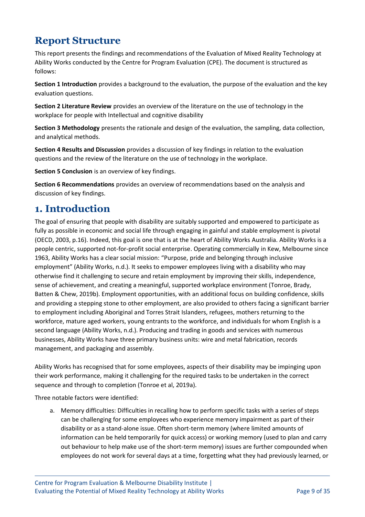# <span id="page-8-0"></span>**Report Structure**

This report presents the findings and recommendations of the Evaluation of Mixed Reality Technology at Ability Works conducted by the Centre for Program Evaluation (CPE). The document is structured as follows:

**Section 1 Introduction** provides a background to the evaluation, the purpose of the evaluation and the key evaluation questions.

**Section 2 Literature Review** provides an overview of the literature on the use of technology in the workplace for people with Intellectual and cognitive disability

**Section 3 Methodology** presents the rationale and design of the evaluation, the sampling, data collection, and analytical methods.

**Section 4 Results and Discussion** provides a discussion of key findings in relation to the evaluation questions and the review of the literature on the use of technology in the workplace.

**Section 5 Conclusion** is an overview of key findings.

**Section 6 Recommendations** provides an overview of recommendations based on the analysis and discussion of key findings.

# <span id="page-8-1"></span>**1. Introduction**

The goal of ensuring that people with disability are suitably supported and empowered to participate as fully as possible in economic and social life through engaging in gainful and stable employment is pivotal (OECD, 2003, p.16). Indeed, this goal is one that is at the heart of Ability Works Australia. Ability Works is a people centric, supported not-for-profit social enterprise. Operating commercially in Kew, Melbourne since 1963, Ability Works has a clear social mission: "Purpose, pride and belonging through inclusive employment" (Ability Works, n.d.). It seeks to empower employees living with a disability who may otherwise find it challenging to secure and retain employment by improving their skills, independence, sense of achievement, and creating a meaningful, supported workplace environment (Tonroe, Brady, Batten & Chew, 2019b). Employment opportunities, with an additional focus on building confidence, skills and providing a stepping stone to other employment, are also provided to others facing a significant barrier to employment including Aboriginal and Torres Strait Islanders, refugees, mothers returning to the workforce, mature aged workers, young entrants to the workforce, and individuals for whom English is a second language (Ability Works, n.d.). Producing and trading in goods and services with numerous businesses, Ability Works have three primary business units: wire and metal fabrication, records management, and packaging and assembly.

Ability Works has recognised that for some employees, aspects of their disability may be impinging upon their work performance, making it challenging for the required tasks to be undertaken in the correct sequence and through to completion (Tonroe et al, 2019a).

Three notable factors were identified:

a. Memory difficulties: Difficulties in recalling how to perform specific tasks with a series of steps can be challenging for some employees who experience memory impairment as part of their disability or as a stand-alone issue. Often short-term memory (where limited amounts of information can be held temporarily for quick access) or working memory (used to plan and carry out behaviour to help make use of the short-term memory) issues are further compounded when employees do not work for several days at a time, forgetting what they had previously learned, or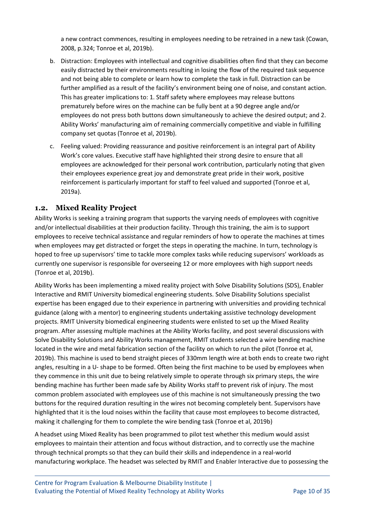a new contract commences, resulting in employees needing to be retrained in a new task (Cowan, 2008, p.324; Tonroe et al, 2019b).

- b. Distraction: Employees with intellectual and cognitive disabilities often find that they can become easily distracted by their environments resulting in losing the flow of the required task sequence and not being able to complete or learn how to complete the task in full. Distraction can be further amplified as a result of the facility's environment being one of noise, and constant action. This has greater implications to: 1. Staff safety where employees may release buttons prematurely before wires on the machine can be fully bent at a 90 degree angle and/or employees do not press both buttons down simultaneously to achieve the desired output; and 2. Ability Works' manufacturing aim of remaining commercially competitive and viable in fulfilling company set quotas (Tonroe et al, 2019b).
- c. Feeling valued: Providing reassurance and positive reinforcement is an integral part of Ability Work's core values. Executive staff have highlighted their strong desire to ensure that all employees are acknowledged for their personal work contribution, particularly noting that given their employees experience great joy and demonstrate great pride in their work, positive reinforcement is particularly important for staff to feel valued and supported (Tonroe et al, 2019a).

#### <span id="page-9-0"></span>**1.2. Mixed Reality Project**

Ability Works is seeking a training program that supports the varying needs of employees with cognitive and/or intellectual disabilities at their production facility. Through this training, the aim is to support employees to receive technical assistance and regular reminders of how to operate the machines at times when employees may get distracted or forget the steps in operating the machine. In turn, technology is hoped to free up supervisors' time to tackle more complex tasks while reducing supervisors' workloads as currently one supervisor is responsible for overseeing 12 or more employees with high support needs (Tonroe et al, 2019b).

Ability Works has been implementing a mixed reality project with Solve Disability Solutions (SDS), Enabler Interactive and RMIT University biomedical engineering students. Solve Disability Solutions specialist expertise has been engaged due to their experience in partnering with universities and providing technical guidance (along with a mentor) to engineering students undertaking assistive technology development projects. RMIT University biomedical engineering students were enlisted to set up the Mixed Reality program. After assessing multiple machines at the Ability Works facility, and post several discussions with Solve Disability Solutions and Ability Works management, RMIT students selected a wire bending machine located in the wire and metal fabrication section of the facility on which to run the pilot (Tonroe et al, 2019b). This machine is used to bend straight pieces of 330mm length wire at both ends to create two right angles, resulting in a U- shape to be formed. Often being the first machine to be used by employees when they commence in this unit due to being relatively simple to operate through six primary steps, the wire bending machine has further been made safe by Ability Works staff to prevent risk of injury. The most common problem associated with employees use of this machine is not simultaneously pressing the two buttons for the required duration resulting in the wires not becoming completely bent. Supervisors have highlighted that it is the loud noises within the facility that cause most employees to become distracted, making it challenging for them to complete the wire bending task (Tonroe et al, 2019b)

A headset using Mixed Reality has been programmed to pilot test whether this medium would assist employees to maintain their attention and focus without distraction, and to correctly use the machine through technical prompts so that they can build their skills and independence in a real-world manufacturing workplace. The headset was selected by RMIT and Enabler Interactive due to possessing the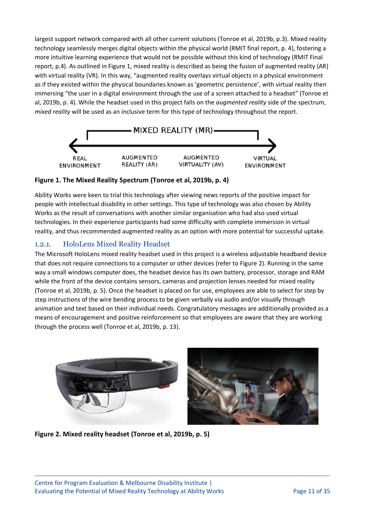largest support network compared with all other current solutions (Tonroe et al, 2019b, p.3). Mixed reality technology seamlessly merges digital objects within the physical world (RMIT final report, p. 4), fostering a more intuitive learning experience that would not be possible without this kind of technology (RMIT Final report, p.4). As outlined in Figure 1, mixed reality is described as being the fusion of augmented reality (AR) with virtual reality (VR). In this way, "augmented reality overlays virtual objects in a physical environment as if they existed within the physical boundaries known as 'geometric persistence', with virtual reality then immersing "the user in a digital environment through the use of a screen attached to a headset" (Tonroe et al, 2019b, p. 4). While the headset used in this project falls on the *augmented reality* side of the spectrum, *mixed reality* will be used as an inclusive term for this type of technology throughout the report.



#### <span id="page-10-0"></span>**Figure 1. The Mixed Reality Spectrum (Tonroe et al, 2019b, p. 4)**

Ability Works were keen to trial this technology after viewing news reports of the positive impact for people with intellectual disability in other settings. This type of technology was also chosen by Ability Works as the result of conversations with another similar organisation who had also used virtual technologies. In their experience participants had some difficulty with complete immersion in virtual reality, and thus recommended augmented reality as an option with more potential for successful uptake.

## 1.2.1. HoloLens Mixed Reality Headset

The Microsoft HoloLens mixed reality headset used in this project is a wireless adjustable headband device that does not require connections to a computer or other devices (refer to Figure 2). Running in the same way a small windows computer does, the headset device has its own battery, processor, storage and RAM while the front of the device contains sensors, cameras and projection lenses needed for mixed reality (Tonroe et al, 2019b, p. 5). Once the headset is placed on for use, employees are able to select for step by step instructions of the wire bending process to be given verbally via audio and/or visually through animation and text based on their individual needs. Congratulatory messages are additionally provided as a means of encouragement and positive reinforcement so that employees are aware that they are working through the process well (Tonroe et al, 2019b, p. 13).

<span id="page-10-1"></span>

**Figure 2. Mixed reality headset (Tonroe et al, 2019b, p. 5)**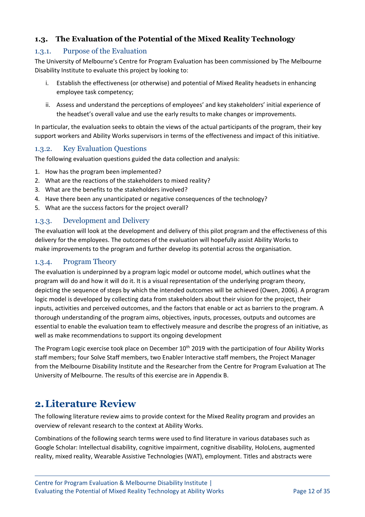## <span id="page-11-0"></span>**1.3. The Evaluation of the Potential of the Mixed Reality Technology**

### 1.3.1. Purpose of the Evaluation

The University of Melbourne's Centre for Program Evaluation has been commissioned by The Melbourne Disability Institute to evaluate this project by looking to:

- i. Establish the effectiveness (or otherwise) and potential of Mixed Reality headsets in enhancing employee task competency;
- ii. Assess and understand the perceptions of employees' and key stakeholders' initial experience of the headset's overall value and use the early results to make changes or improvements.

In particular, the evaluation seeks to obtain the views of the actual participants of the program, their key support workers and Ability Works supervisors in terms of the effectiveness and impact of this initiative.

### 1.3.2. Key Evaluation Questions

The following evaluation questions guided the data collection and analysis:

- 1. How has the program been implemented?
- 2. What are the reactions of the stakeholders to mixed reality?
- 3. What are the benefits to the stakeholders involved?
- 4. Have there been any unanticipated or negative consequences of the technology?
- 5. What are the success factors for the project overall?

#### 1.3.3. Development and Delivery

The evaluation will look at the development and delivery of this pilot program and the effectiveness of this delivery for the employees. The outcomes of the evaluation will hopefully assist Ability Works to make improvements to the program and further develop its potential across the organisation.

#### 1.3.4. Program Theory

The evaluation is underpinned by a program logic model or outcome model, which outlines what the program will do and how it will do it. It is a visual representation of the underlying program theory, depicting the sequence of steps by which the intended outcomes will be achieved (Owen, 2006). A program logic model is developed by collecting data from stakeholders about their vision for the project, their inputs, activities and perceived outcomes, and the factors that enable or act as barriers to the program. A thorough understanding of the program aims, objectives, inputs, processes, outputs and outcomes are essential to enable the evaluation team to effectively measure and describe the progress of an initiative, as well as make recommendations to support its ongoing development

The Program Logic exercise took place on December 10<sup>th</sup> 2019 with the participation of four Ability Works staff members; four Solve Staff members, two Enabler Interactive staff members, the Project Manager from the Melbourne Disability Institute and the Researcher from the Centre for Program Evaluation at The University of Melbourne. The results of this exercise are in Appendix B.

# <span id="page-11-1"></span>**2.Literature Review**

The following literature review aims to provide context for the Mixed Reality program and provides an overview of relevant research to the context at Ability Works.

Combinations of the following search terms were used to find literature in various databases such as Google Scholar: Intellectual disability, cognitive impairment, cognitive disability, HoloLens, augmented reality, mixed reality, Wearable Assistive Technologies (WAT), employment. Titles and abstracts were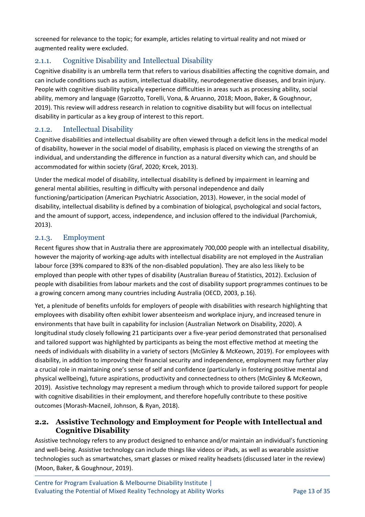screened for relevance to the topic; for example, articles relating to virtual reality and not mixed or augmented reality were excluded.

## 2.1.1. Cognitive Disability and Intellectual Disability

Cognitive disability is an umbrella term that refers to various disabilities affecting the cognitive domain, and can include conditions such as autism, intellectual disability, neurodegenerative diseases, and brain injury. People with cognitive disability typically experience difficulties in areas such as processing ability, social ability, memory and language (Garzotto, Torelli, Vona, & Aruanno, 2018; Moon, Baker, & Goughnour, 2019). This review will address research in relation to cognitive disability but will focus on intellectual disability in particular as a key group of interest to this report.

### 2.1.2. Intellectual Disability

Cognitive disabilities and intellectual disability are often viewed through a deficit lens in the medical model of disability, however in the social model of disability, emphasis is placed on viewing the strengths of an individual, and understanding the difference in function as a natural diversity which can, and should be accommodated for within society (Graf, 2020; Krcek, 2013).

Under the medical model of disability, intellectual disability is defined by impairment in learning and general mental abilities, resulting in difficulty with personal independence and daily functioning/participation (American Psychiatric Association, 2013). However, in the social model of disability, intellectual disability is defined by a combination of biological, psychological and social factors, and the amount of support, access, independence, and inclusion offered to the individual (Parchomiuk, 2013).

### 2.1.3. Employment

Recent figures show that in Australia there are approximately 700,000 people with an intellectual disability, however the majority of working-age adults with intellectual disability are not employed in the Australian labour force (39% compared to 83% of the non-disabled population). They are also less likely to be employed than people with other types of disability (Australian Bureau of Statistics, 2012). Exclusion of people with disabilities from labour markets and the cost of disability support programmes continues to be a growing concern among many countries including Australia (OECD, 2003, p.16).

Yet, a plenitude of benefits unfolds for employers of people with disabilities with research highlighting that employees with disability often exhibit lower absenteeism and workplace injury, and increased tenure in environments that have built in capability for inclusion (Australian Network on Disability, 2020). A longitudinal study closely following 21 participants over a five-year period demonstrated that personalised and tailored support was highlighted by participants as being the most effective method at meeting the needs of individuals with disability in a variety of sectors (McGinley & McKeown, 2019). For employees with disability, in addition to improving their financial security and independence, employment may further play a crucial role in maintaining one's sense of self and confidence (particularly in fostering positive mental and physical wellbeing), future aspirations, productivity and connectedness to others (McGinley & McKeown, 2019). Assistive technology may represent a medium through which to provide tailored support for people with cognitive disabilities in their employment, and therefore hopefully contribute to these positive outcomes (Morash-Macneil, Johnson, & Ryan, 2018).

## <span id="page-12-0"></span>**2.2. Assistive Technology and Employment for People with Intellectual and Cognitive Disability**

Assistive technology refers to any product designed to enhance and/or maintain an individual's functioning and well-being. Assistive technology can include things like videos or iPads, as well as wearable assistive technologies such as smartwatches, smart glasses or mixed reality headsets (discussed later in the review) (Moon, Baker, & Goughnour, 2019).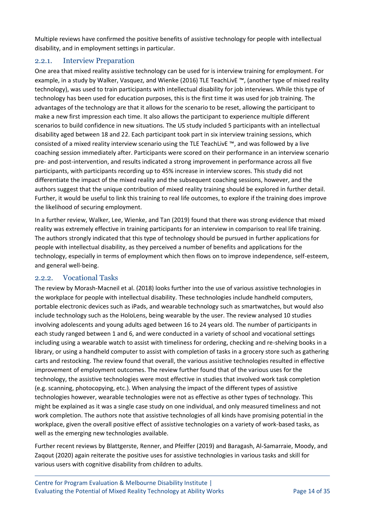Multiple reviews have confirmed the positive benefits of assistive technology for people with intellectual disability, and in employment settings in particular.

#### 2.2.1. Interview Preparation

One area that mixed reality assistive technology can be used for is interview training for employment. For example, in a study by Walker, Vasquez, and Wienke (2016) TLE TeachLivE ™, (another type of mixed reality technology), was used to train participants with intellectual disability for job interviews. While this type of technology has been used for education purposes, this is the first time it was used for job training. The advantages of the technology are that it allows for the scenario to be reset, allowing the participant to make a new first impression each time. It also allows the participant to experience multiple different scenarios to build confidence in new situations. The US study included 5 participants with an intellectual disability aged between 18 and 22. Each participant took part in six interview training sessions, which consisted of a mixed reality interview scenario using the TLE TeachLivE ™, and was followed by a live coaching session immediately after. Participants were scored on their performance in an interview scenario pre- and post-intervention, and results indicated a strong improvement in performance across all five participants, with participants recording up to 45% increase in interview scores. This study did not differentiate the impact of the mixed reality and the subsequent coaching sessions, however, and the authors suggest that the unique contribution of mixed reality training should be explored in further detail. Further, it would be useful to link this training to real life outcomes, to explore if the training does improve the likelihood of securing employment.

In a further review, Walker, Lee, Wienke, and Tan (2019) found that there was strong evidence that mixed reality was extremely effective in training participants for an interview in comparison to real life training. The authors strongly indicated that this type of technology should be pursued in further applications for people with intellectual disability, as they perceived a number of benefits and applications for the technology, especially in terms of employment which then flows on to improve independence, self-esteem, and general well-being.

### 2.2.2. Vocational Tasks

The review by Morash-Macneil et al. (2018) looks further into the use of various assistive technologies in the workplace for people with intellectual disability. These technologies include handheld computers, portable electronic devices such as iPads, and wearable technology such as smartwatches, but would also include technology such as the HoloLens, being wearable by the user. The review analysed 10 studies involving adolescents and young adults aged between 16 to 24 years old. The number of participants in each study ranged between 1 and 6, and were conducted in a variety of school and vocational settings including using a wearable watch to assist with timeliness for ordering, checking and re-shelving books in a library, or using a handheld computer to assist with completion of tasks in a grocery store such as gathering carts and restocking. The review found that overall, the various assistive technologies resulted in effective improvement of employment outcomes. The review further found that of the various uses for the technology, the assistive technologies were most effective in studies that involved work task completion (e.g. scanning, photocopying, etc.). When analysing the impact of the different types of assistive technologies however, wearable technologies were not as effective as other types of technology. This might be explained as it was a single case study on one individual, and only measured timeliness and not work completion. The authors note that assistive technologies of all kinds have promising potential in the workplace, given the overall positive effect of assistive technologies on a variety of work-based tasks, as well as the emerging new technologies available.

Further recent reviews by Blattgerste, Renner, and Pfeiffer (2019) and Baragash, Al-Samarraie, Moody, and Zaqout (2020) again reiterate the positive uses for assistive technologies in various tasks and skill for various users with cognitive disability from children to adults.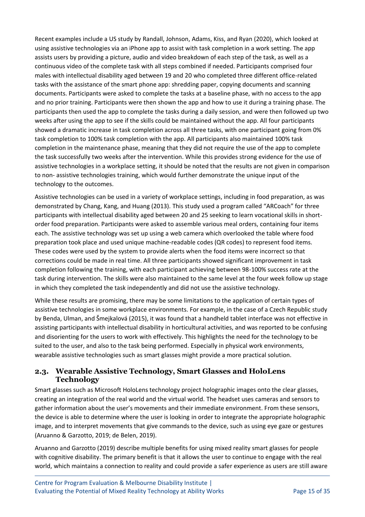Recent examples include a US study by Randall, Johnson, Adams, Kiss, and Ryan (2020), which looked at using assistive technologies via an iPhone app to assist with task completion in a work setting. The app assists users by providing a picture, audio and video breakdown of each step of the task, as well as a continuous video of the complete task with all steps combined if needed. Participants comprised four males with intellectual disability aged between 19 and 20 who completed three different office-related tasks with the assistance of the smart phone app: shredding paper, copying documents and scanning documents. Participants were asked to complete the tasks at a baseline phase, with no access to the app and no prior training. Participants were then shown the app and how to use it during a training phase. The participants then used the app to complete the tasks during a daily session, and were then followed up two weeks after using the app to see if the skills could be maintained without the app. All four participants showed a dramatic increase in task completion across all three tasks, with one participant going from 0% task completion to 100% task completion with the app. All participants also maintained 100% task completion in the maintenance phase, meaning that they did not require the use of the app to complete the task successfully two weeks after the intervention. While this provides strong evidence for the use of assistive technologies in a workplace setting, it should be noted that the results are not given in comparison to non- assistive technologies training, which would further demonstrate the unique input of the technology to the outcomes.

Assistive technologies can be used in a variety of workplace settings, including in food preparation, as was demonstrated by Chang, Kang, and Huang (2013). This study used a program called "ARCoach" for three participants with intellectual disability aged between 20 and 25 seeking to learn vocational skills in shortorder food preparation. Participants were asked to assemble various meal orders, containing four items each. The assistive technology was set up using a web camera which overlooked the table where food preparation took place and used unique machine-readable codes (QR codes) to represent food items. These codes were used by the system to provide alerts when the food items were incorrect so that corrections could be made in real time. All three participants showed significant improvement in task completion following the training, with each participant achieving between 98-100% success rate at the task during intervention. The skills were also maintained to the same level at the four week follow up stage in which they completed the task independently and did not use the assistive technology.

While these results are promising, there may be some limitations to the application of certain types of assistive technologies in some workplace environments. For example, in the case of a Czech Republic study by Benda, Ulman, and Šmejkalová (2015), it was found that a handheld tablet interface was not effective in assisting participants with intellectual disability in horticultural activities, and was reported to be confusing and disorienting for the users to work with effectively. This highlights the need for the technology to be suited to the user, and also to the task being performed. Especially in physical work environments, wearable assistive technologies such as smart glasses might provide a more practical solution.

### <span id="page-14-0"></span>**2.3. Wearable Assistive Technology, Smart Glasses and HoloLens Technology**

Smart glasses such as Microsoft HoloLens technology project holographic images onto the clear glasses, creating an integration of the real world and the virtual world. The headset uses cameras and sensors to gather information about the user's movements and their immediate environment. From these sensors, the device is able to determine where the user is looking in order to integrate the appropriate holographic image, and to interpret movements that give commands to the device, such as using eye gaze or gestures (Aruanno & Garzotto, 2019; de Belen, 2019).

Aruanno and Garzotto (2019) describe multiple benefits for using mixed reality smart glasses for people with cognitive disability. The primary benefit is that it allows the user to continue to engage with the real world, which maintains a connection to reality and could provide a safer experience as users are still aware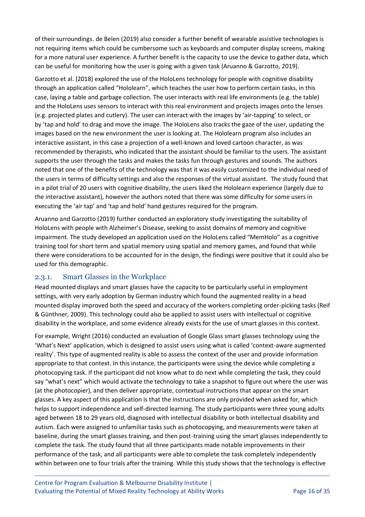of their surroundings. de Belen (2019) also consider a further benefit of wearable assistive technologies is not requiring items which could be cumbersome such as keyboards and computer display screens, making for a more natural user experience. A further benefit is the capacity to use the device to gather data, which can be useful for monitoring how the user is going with a given task (Aruanno & Garzotto, 2019).

Garzotto et al. (2018) explored the use of the HoloLens technology for people with cognitive disability through an application called "Hololearn", which teaches the user how to perform certain tasks, in this case, laying a table and garbage collection. The user interacts with real life environments (e.g. the table) and the HoloLens uses sensors to interact with this real environment and projects images onto the lenses (e.g. projected plates and cutlery). The user can interact with the images by 'air-tapping' to select, or by 'tap and hold' to drag and move the image. The HoloLens also tracks the gaze of the user, updating the images based on the new environment the user is looking at. The Hololearn program also includes an interactive assistant, in this case a projection of a well-known and loved cartoon character, as was recommended by therapists, who indicated that the assistant should be familiar to the users. The assistant supports the user through the tasks and makes the tasks fun through gestures and sounds. The authors noted that one of the benefits of the technology was that it was easily customized to the individual need of the users in terms of difficulty settings and also the responses of the virtual assistant. The study found that in a pilot trial of 20 users with cognitive disability, the users liked the Hololearn experience (largely due to the interactive assistant), however the authors noted that there was some difficulty for some users in executing the 'air tap' and 'tap and hold' hand gestures required for the program.

Aruanno and Garzotto (2019) further conducted an exploratory study investigating the suitability of HoloLens with people with Alzheimer's Disease, seeking to assist domains of memory and cognitive impairment. The study developed an application used on the HoloLens called "MemHolo" as a cognitive training tool for short term and spatial memory using spatial and memory games, and found that while there were considerations to be accounted for in the design, the findings were positive that it could also be used for this demographic.

#### 2.3.1. Smart Glasses in the Workplace

Head mounted displays and smart glasses have the capacity to be particularly useful in employment settings, with very early adoption by German industry which found the augmented reality in a head mounted display improved both the speed and accuracy of the workers completing order-picking tasks (Reif & Günthner, 2009). This technology could also be applied to assist users with intellectual or cognitive disability in the workplace, and some evidence already exists for the use of smart glasses in this context.

For example, Wright (2016) conducted an evaluation of Google Glass smart glasses technology using the 'What's Next' application, which is designed to assist users using what is called 'context-aware augmented reality'. This type of augmented reality is able to assess the context of the user and provide information appropriate to that context. In this instance, the participants were using the device while completing a photocopying task. If the participant did not know what to do next while completing the task, they could say "what's next" which would activate the technology to take a snapshot to figure out where the user was (at the photocopier), and then deliver appropriate, contextual instructions that appear on the smart glasses. A key aspect of this application is that the instructions are only provided when asked for, which helps to support independence and self-directed learning. The study participants were three young adults aged between 18 to 29 years old, diagnosed with intellectual disability or both intellectual disability and autism. Each were assigned to unfamiliar tasks such as photocopying, and measurements were taken at baseline, during the smart glasses training, and then post-training using the smart glasses independently to complete the task. The study found that all three participants made notable improvements in their performance of the task, and all participants were able to complete the task completely independently within between one to four trials after the training. While this study shows that the technology is effective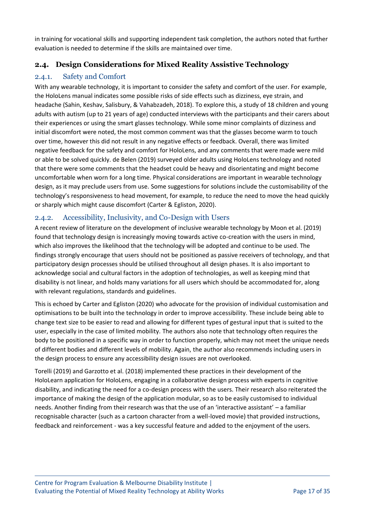in training for vocational skills and supporting independent task completion, the authors noted that further evaluation is needed to determine if the skills are maintained over time.

## <span id="page-16-0"></span>**2.4. Design Considerations for Mixed Reality Assistive Technology**

### 2.4.1. Safety and Comfort

With any wearable technology, it is important to consider the safety and comfort of the user. For example, the HoloLens manual indicates some possible risks of side effects such as dizziness, eye strain, and headache (Sahin, Keshav, Salisbury, & Vahabzadeh, 2018). To explore this, a study of 18 children and young adults with autism (up to 21 years of age) conducted interviews with the participants and their carers about their experiences or using the smart glasses technology. While some minor complaints of dizziness and initial discomfort were noted, the most common comment was that the glasses become warm to touch over time, however this did not result in any negative effects or feedback. Overall, there was limited negative feedback for the safety and comfort for HoloLens, and any comments that were made were mild or able to be solved quickly. de Belen (2019) surveyed older adults using HoloLens technology and noted that there were some comments that the headset could be heavy and disorientating and might become uncomfortable when worn for a long time. Physical considerations are important in wearable technology design, as it may preclude users from use. Some suggestions for solutions include the customisability of the technology's responsiveness to head movement, for example, to reduce the need to move the head quickly or sharply which might cause discomfort (Carter & Egliston, 2020).

### 2.4.2. Accessibility, Inclusivity, and Co-Design with Users

A recent review of literature on the development of inclusive wearable technology by Moon et al. (2019) found that technology design is increasingly moving towards active co-creation with the users in mind, which also improves the likelihood that the technology will be adopted and continue to be used. The findings strongly encourage that users should not be positioned as passive receivers of technology, and that participatory design processes should be utilised throughout all design phases. It is also important to acknowledge social and cultural factors in the adoption of technologies, as well as keeping mind that disability is not linear, and holds many variations for all users which should be accommodated for, along with relevant regulations, standards and guidelines.

This is echoed by Carter and Egliston (2020) who advocate for the provision of individual customisation and optimisations to be built into the technology in order to improve accessibility. These include being able to change text size to be easier to read and allowing for different types of gestural input that is suited to the user, especially in the case of limited mobility. The authors also note that technology often requires the body to be positioned in a specific way in order to function properly, which may not meet the unique needs of different bodies and different levels of mobility. Again, the author also recommends including users in the design process to ensure any accessibility design issues are not overlooked.

Torelli (2019) and Garzotto et al. (2018) implemented these practices in their development of the HoloLearn application for HoloLens, engaging in a collaborative design process with experts in cognitive disability, and indicating the need for a co-design process with the users. Their research also reiterated the importance of making the design of the application modular, so as to be easily customised to individual needs. Another finding from their research was that the use of an 'interactive assistant' – a familiar recognisable character (such as a cartoon character from a well-loved movie) that provided instructions, feedback and reinforcement - was a key successful feature and added to the enjoyment of the users.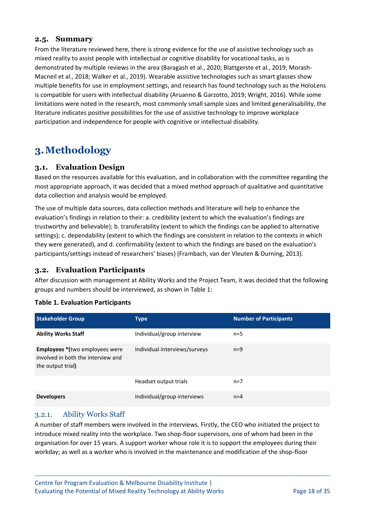#### <span id="page-17-0"></span>**2.5. Summary**

From the literature reviewed here, there is strong evidence for the use of assistive technology such as mixed reality to assist people with intellectual or cognitive disability for vocational tasks, as is demonstrated by multiple reviews in the area (Baragash et al., 2020; Blattgerste et al., 2019; Morash-Macneil et al., 2018; Walker et al., 2019). Wearable assistive technologies such as smart glasses show multiple benefits for use in employment settings, and research has found technology such as the HoloLens is compatible for users with intellectual disability (Aruanno & Garzotto, 2019; Wright, 2016). While some limitations were noted in the research, most commonly small sample sizes and limited generalisability, the literature indicates positive possibilities for the use of assistive technology to improve workplace participation and independence for people with cognitive or intellectual disability.

# <span id="page-17-1"></span>**3.Methodology**

#### <span id="page-17-2"></span>**3.1. Evaluation Design**

Based on the resources available for this evaluation, and in collaboration with the committee regarding the most appropriate approach, it was decided that a mixed method approach of qualitative and quantitative data collection and analysis would be employed.

The use of multiple data sources, data collection methods and literature will help to enhance the evaluation's findings in relation to their: a. credibility (extent to which the evaluation's findings are trustworthy and believable); b. transferability (extent to which the findings can be applied to alternative settings); c. dependability (extent to which the findings are consistent in relation to the contexts in which they were generated), and d. confirmability (extent to which the findings are based on the evaluation's participants/settings instead of researchers' biases) (Frambach, van der Vleuten & Durning, 2013).

#### <span id="page-17-3"></span>**3.2. Evaluation Participants**

After discussion with management at Ability Works and the Project Team, it was decided that the following groups and numbers should be interviewed, as shown in Table 1:

#### <span id="page-17-4"></span>**Table 1. Evaluation Participants**

| <b>Stakeholder Group</b>                                                                          | <b>Type</b>                   | <b>Number of Participants</b> |
|---------------------------------------------------------------------------------------------------|-------------------------------|-------------------------------|
| <b>Ability Works Staff</b>                                                                        | Individual/group interview    | $n=5$                         |
| <b>Employees *</b> (two employees were<br>involved in both the interview and<br>the output trial) | Individual interviews/surveys | $n=9$                         |
|                                                                                                   | Headset output trials         | $n=7$                         |
| <b>Developers</b>                                                                                 | Individual/group interviews   | $n=4$                         |

#### 3.2.1. Ability Works Staff

A number of staff members were involved in the interviews. Firstly, the CEO who initiated the project to introduce mixed reality into the workplace. Two shop-floor supervisors, one of whom had been in the organisation for over 15 years. A support worker whose role it is to support the employees during their workday; as well as a worker who is involved in the maintenance and modification of the shop-floor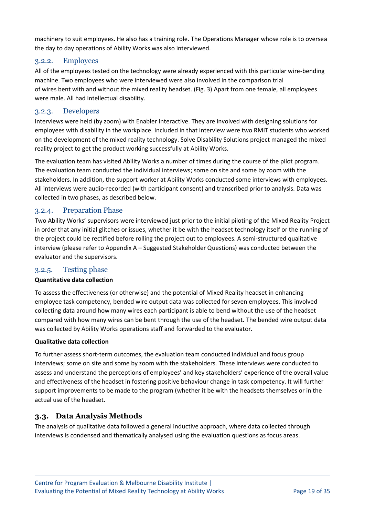machinery to suit employees. He also has a training role. The Operations Manager whose role is to oversea the day to day operations of Ability Works was also interviewed.

#### 3.2.2. Employees

All of the employees tested on the technology were already experienced with this particular wire-bending machine. Two employees who were interviewed were also involved in the comparison trial of wires bent with and without the mixed reality headset. (Fig. 3) Apart from one female, all employees were male. All had intellectual disability.

#### 3.2.3. Developers

Interviews were held (by zoom) with Enabler Interactive. They are involved with designing solutions for employees with disability in the workplace. Included in that interview were two RMIT students who worked on the development of the mixed reality technology. Solve Disability Solutions project managed the mixed reality project to get the product working successfully at Ability Works.

The evaluation team has visited Ability Works a number of times during the course of the pilot program. The evaluation team conducted the individual interviews; some on site and some by zoom with the stakeholders. In addition, the support worker at Ability Works conducted some interviews with employees. All interviews were audio-recorded (with participant consent) and transcribed prior to analysis. Data was collected in two phases, as described below.

#### 3.2.4. Preparation Phase

Two Ability Works' supervisors were interviewed just prior to the initial piloting of the Mixed Reality Project in order that any initial glitches or issues, whether it be with the headset technology itself or the running of the project could be rectified before rolling the project out to employees. A semi-structured qualitative interview (please refer to Appendix A – Suggested Stakeholder Questions) was conducted between the evaluator and the supervisors.

#### 3.2.5. Testing phase

#### **Quantitative data collection**

To assess the effectiveness (or otherwise) and the potential of Mixed Reality headset in enhancing employee task competency, bended wire output data was collected for seven employees. This involved collecting data around how many wires each participant is able to bend without the use of the headset compared with how many wires can be bent through the use of the headset. The bended wire output data was collected by Ability Works operations staff and forwarded to the evaluator.

#### **Qualitative data collection**

To further assess short-term outcomes, the evaluation team conducted individual and focus group interviews; some on site and some by zoom with the stakeholders. These interviews were conducted to assess and understand the perceptions of employees' and key stakeholders' experience of the overall value and effectiveness of the headset in fostering positive behaviour change in task competency. It will further support improvements to be made to the program (whether it be with the headsets themselves or in the actual use of the headset.

#### <span id="page-18-0"></span>**3.3. Data Analysis Methods**

The analysis of qualitative data followed a general inductive approach, where data collected through interviews is condensed and thematically analysed using the evaluation questions as focus areas.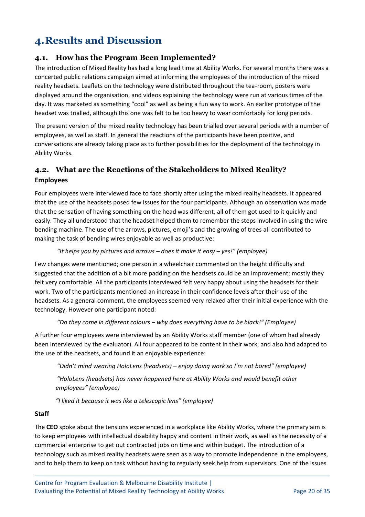# <span id="page-19-0"></span>**4.Results and Discussion**

### <span id="page-19-1"></span>**4.1. How has the Program Been Implemented?**

The introduction of Mixed Reality has had a long lead time at Ability Works. For several months there was a concerted public relations campaign aimed at informing the employees of the introduction of the mixed reality headsets. Leaflets on the technology were distributed throughout the tea-room, posters were displayed around the organisation, and videos explaining the technology were run at various times of the day. It was marketed as something "cool" as well as being a fun way to work. An earlier prototype of the headset was trialled, although this one was felt to be too heavy to wear comfortably for long periods.

The present version of the mixed reality technology has been trialled over several periods with a number of employees, as well as staff. In general the reactions of the participants have been positive, and conversations are already taking place as to further possibilities for the deployment of the technology in Ability Works.

## <span id="page-19-2"></span>**4.2. What are the Reactions of the Stakeholders to Mixed Reality? Employees**

Four employees were interviewed face to face shortly after using the mixed reality headsets. It appeared that the use of the headsets posed few issues for the four participants. Although an observation was made that the sensation of having something on the head was different, all of them got used to it quickly and easily. They all understood that the headset helped them to remember the steps involved in using the wire bending machine. The use of the arrows, pictures, emoji's and the growing of trees all contributed to making the task of bending wires enjoyable as well as productive:

#### *"It helps you by pictures and arrows – does it make it easy – yes!" (employee)*

Few changes were mentioned; one person in a wheelchair commented on the height difficulty and suggested that the addition of a bit more padding on the headsets could be an improvement; mostly they felt very comfortable. All the participants interviewed felt very happy about using the headsets for their work. Two of the participants mentioned an increase in their confidence levels after their use of the headsets. As a general comment, the employees seemed very relaxed after their initial experience with the technology. However one participant noted:

#### *"Do they come in different colours – why does everything have to be black!" (Employee)*

A further four employees were interviewed by an Ability Works staff member (one of whom had already been interviewed by the evaluator). All four appeared to be content in their work, and also had adapted to the use of the headsets, and found it an enjoyable experience:

*"Didn't mind wearing HoloLens (headsets) – enjoy doing work so I'm not bored" (employee) "HoloLens (headsets) has never happened here at Ability Works and would benefit other employees" (employee)*

*"I liked it because it was like a telescopic lens" (employee)*

#### **Staff**

The **CEO** spoke about the tensions experienced in a workplace like Ability Works, where the primary aim is to keep employees with intellectual disability happy and content in their work, as well as the necessity of a commercial enterprise to get out contracted jobs on time and within budget. The introduction of a technology such as mixed reality headsets were seen as a way to promote independence in the employees, and to help them to keep on task without having to regularly seek help from supervisors. One of the issues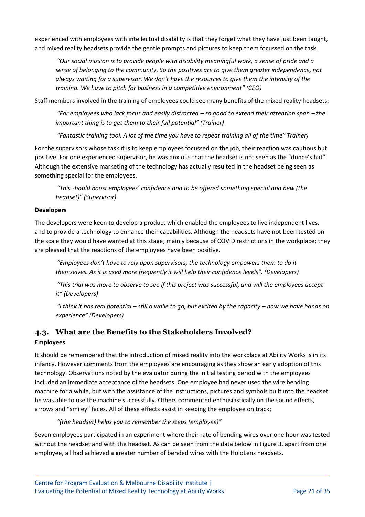experienced with employees with intellectual disability is that they forget what they have just been taught, and mixed reality headsets provide the gentle prompts and pictures to keep them focussed on the task.

*"Our social mission is to provide people with disability meaningful work, a sense of pride and a sense of belonging to the community. So the positives are to give them greater independence, not always waiting for a supervisor. We don't have the resources to give them the intensity of the training. We have to pitch for business in a competitive environment" (CEO)*

Staff members involved in the training of employees could see many benefits of the mixed reality headsets:

*"For employees who lack focus and easily distracted – so good to extend their attention span – the important thing is to get them to their full potential" (Trainer)*

*"Fantastic training tool. A lot of the time you have to repeat training all of the time" Trainer)*

For the supervisors whose task it is to keep employees focussed on the job, their reaction was cautious but positive. For one experienced supervisor, he was anxious that the headset is not seen as the "dunce's hat". Although the extensive marketing of the technology has actually resulted in the headset being seen as something special for the employees.

*"This should boost employees' confidence and to be offered something special and new (the headset)" (Supervisor)*

#### **Developers**

The developers were keen to develop a product which enabled the employees to live independent lives, and to provide a technology to enhance their capabilities. Although the headsets have not been tested on the scale they would have wanted at this stage; mainly because of COVID restrictions in the workplace; they are pleased that the reactions of the employees have been positive.

*"Employees don't have to rely upon supervisors, the technology empowers them to do it themselves. As it is used more frequently it will help their confidence levels". (Developers)*

*"This trial was more to observe to see if this project was successful, and will the employees accept it" (Developers)*

*"I think it has real potential – still a while to go, but excited by the capacity – now we have hands on experience" (Developers)*

# <span id="page-20-0"></span>**4.3. What are the Benefits to the Stakeholders Involved?**

#### **Employees**

It should be remembered that the introduction of mixed reality into the workplace at Ability Works is in its infancy. However comments from the employees are encouraging as they show an early adoption of this technology. Observations noted by the evaluator during the initial testing period with the employees included an immediate acceptance of the headsets. One employee had never used the wire bending machine for a while, but with the assistance of the instructions, pictures and symbols built into the headset he was able to use the machine successfully. Others commented enthusiastically on the sound effects, arrows and "smiley" faces. All of these effects assist in keeping the employee on track;

#### *"(the headset) helps you to remember the steps (employee)"*

Seven employees participated in an experiment where their rate of bending wires over one hour was tested without the headset and with the headset. As can be seen from the data below in Figure 3, apart from one employee, all had achieved a greater number of bended wires with the HoloLens headsets.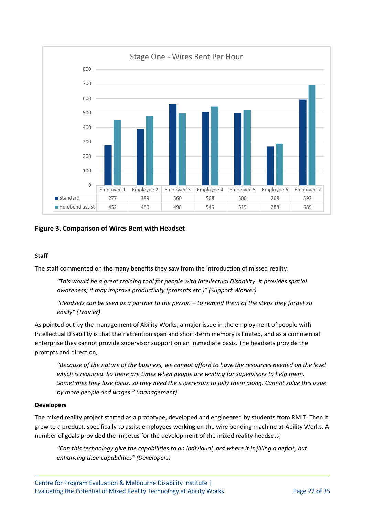

#### <span id="page-21-0"></span>**Figure 3. Comparison of Wires Bent with Headset**

#### **Staff**

The staff commented on the many benefits they saw from the introduction of missed reality:

*"This would be a great training tool for people with Intellectual Disability. It provides spatial awareness; it may improve productivity (prompts etc.)" (Support Worker)*

*"Headsets can be seen as a partner to the person – to remind them of the steps they forget so easily" (Trainer)*

As pointed out by the management of Ability Works, a major issue in the employment of people with Intellectual Disability is that their attention span and short-term memory is limited, and as a commercial enterprise they cannot provide supervisor support on an immediate basis. The headsets provide the prompts and direction,

*"Because of the nature of the business, we cannot afford to have the resources needed on the level which is required. So there are times when people are waiting for supervisors to help them. Sometimes they lose focus, so they need the supervisors to jolly them along. Cannot solve this issue by more people and wages." (management)*

#### **Developers**

The mixed reality project started as a prototype, developed and engineered by students from RMIT. Then it grew to a product, specifically to assist employees working on the wire bending machine at Ability Works. A number of goals provided the impetus for the development of the mixed reality headsets;

*"Can this technology give the capabilities to an individual, not where it is filling a deficit, but enhancing their capabilities" (Developers)*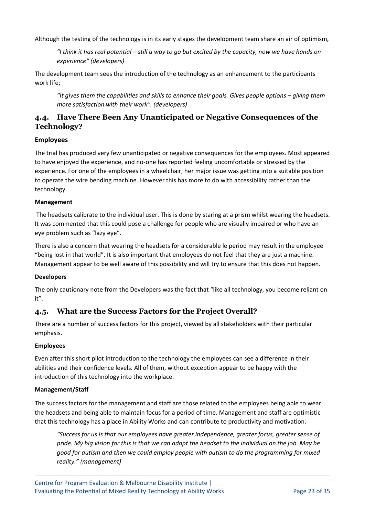Although the testing of the technology is in its early stages the development team share an air of optimism,

*"I think it has real potential – still a way to go but excited by the capacity, now we have hands on experience" (developers)*

The development team sees the introduction of the technology as an enhancement to the participants work life;

*"It gives them the capabilities and skills to enhance their goals. Gives people options – giving them more satisfaction with their work". (developers)*

## **4.4. Have There Been Any Unanticipated or Negative Consequences of the Technology?**

#### **Employees**

The trial has produced very few unanticipated or negative consequences for the employees. Most appeared to have enjoyed the experience, and no-one has reported feeling uncomfortable or stressed by the experience. For one of the employees in a wheelchair, her major issue was getting into a suitable position to operate the wire bending machine. However this has more to do with accessibility rather than the technology.

#### **Management**

The headsets calibrate to the individual user. This is done by staring at a prism whilst wearing the headsets. It was commented that this could pose a challenge for people who are visually impaired or who have an eye problem such as "lazy eye".

There is also a concern that wearing the headsets for a considerable le period may result in the employee "being lost in that world". It is also important that employees do not feel that they are just a machine. Management appear to be well aware of this possibility and will try to ensure that this does not happen.

#### **Developers**

The only cautionary note from the Developers was the fact that "like all technology, you become reliant on it".

#### **4.5. What are the Success Factors for the Project Overall?**

There are a number of success factors for this project, viewed by all stakeholders with their particular emphasis.

#### **Employees**

Even after this short pilot introduction to the technology the employees can see a difference in their abilities and their confidence levels. All of them, without exception appear to be happy with the introduction of this technology into the workplace.

#### **Management/Staff**

The success factors for the management and staff are those related to the employees being able to wear the headsets and being able to maintain focus for a period of time. Management and staff are optimistic that this technology has a place in Ability Works and can contribute to productivity and motivation.

*"Success for us is that our employees have greater independence, greater focus, greater sense of pride. My big vision for this is that we can adapt the headset to the individual on the job. May be good for autism and then we could employ people with autism to do the programming for mixed reality." (management)*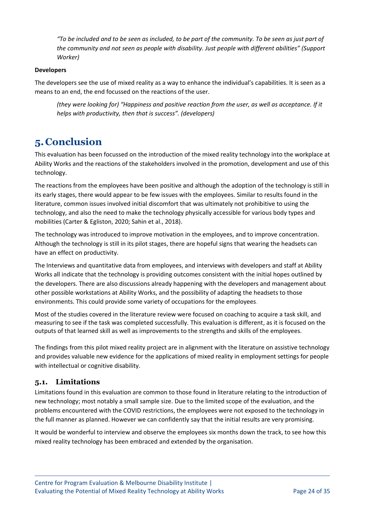*"To be included and to be seen as included, to be part of the community. To be seen as just part of the community and not seen as people with disability. Just people with different abilities" (Support Worker)*

#### **Developers**

The developers see the use of mixed reality as a way to enhance the individual's capabilities. It is seen as a means to an end, the end focussed on the reactions of the user.

*(they were looking for) "Happiness and positive reaction from the user, as well as acceptance. If it helps with productivity, then that is success". (developers)*

# <span id="page-23-0"></span>**5.Conclusion**

This evaluation has been focussed on the introduction of the mixed reality technology into the workplace at Ability Works and the reactions of the stakeholders involved in the promotion, development and use of this technology.

The reactions from the employees have been positive and although the adoption of the technology is still in its early stages, there would appear to be few issues with the employees. Similar to results found in the literature, common issues involved initial discomfort that was ultimately not prohibitive to using the technology, and also the need to make the technology physically accessible for various body types and mobilities (Carter & Egliston, 2020; Sahin et al., 2018).

The technology was introduced to improve motivation in the employees, and to improve concentration. Although the technology is still in its pilot stages, there are hopeful signs that wearing the headsets can have an effect on productivity.

The Interviews and quantitative data from employees, and interviews with developers and staff at Ability Works all indicate that the technology is providing outcomes consistent with the initial hopes outlined by the developers. There are also discussions already happening with the developers and management about other possible workstations at Ability Works, and the possibility of adapting the headsets to those environments. This could provide some variety of occupations for the employees.

Most of the studies covered in the literature review were focused on coaching to acquire a task skill, and measuring to see if the task was completed successfully. This evaluation is different, as it is focused on the outputs of that learned skill as well as improvements to the strengths and skills of the employees.

The findings from this pilot mixed reality project are in alignment with the literature on assistive technology and provides valuable new evidence for the applications of mixed reality in employment settings for people with intellectual or cognitive disability.

#### <span id="page-23-1"></span>**5.1. Limitations**

Limitations found in this evaluation are common to those found in literature relating to the introduction of new technology; most notably a small sample size. Due to the limited scope of the evaluation, and the problems encountered with the COVID restrictions, the employees were not exposed to the technology in the full manner as planned. However we can confidently say that the initial results are very promising.

It would be wonderful to interview and observe the employees six months down the track, to see how this mixed reality technology has been embraced and extended by the organisation.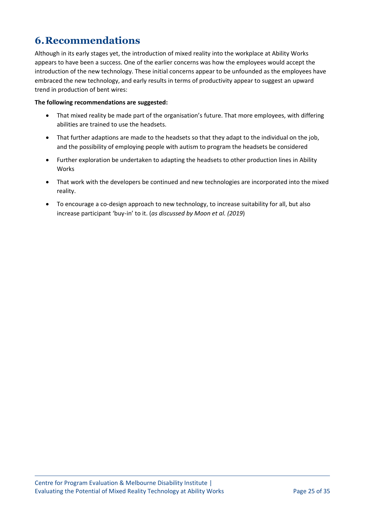# <span id="page-24-0"></span>**6.Recommendations**

Although in its early stages yet, the introduction of mixed reality into the workplace at Ability Works appears to have been a success. One of the earlier concerns was how the employees would accept the introduction of the new technology. These initial concerns appear to be unfounded as the employees have embraced the new technology, and early results in terms of productivity appear to suggest an upward trend in production of bent wires:

#### **The following recommendations are suggested:**

- That mixed reality be made part of the organisation's future. That more employees, with differing abilities are trained to use the headsets.
- That further adaptions are made to the headsets so that they adapt to the individual on the job, and the possibility of employing people with autism to program the headsets be considered
- Further exploration be undertaken to adapting the headsets to other production lines in Ability Works
- That work with the developers be continued and new technologies are incorporated into the mixed reality.
- To encourage a co-design approach to new technology, to increase suitability for all, but also increase participant 'buy-in' to it. (*as discussed by Moon et al. (2019*)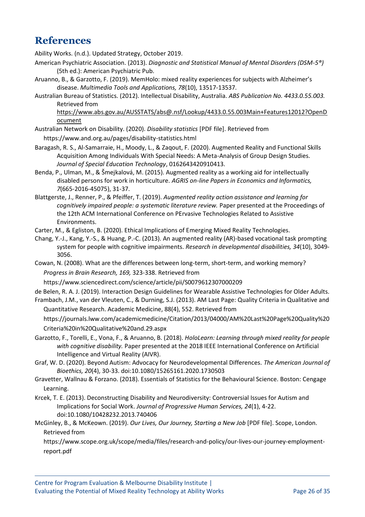# <span id="page-25-0"></span>**References**

Ability Works. (n.d.). Updated Strategy, October 2019.

- American Psychiatric Association. (2013). *Diagnostic and Statistical Manual of Mental Disorders (DSM-5®)* (5th ed.): American Psychiatric Pub.
- Aruanno, B., & Garzotto, F. (2019). MemHolo: mixed reality experiences for subjects with Alzheimer's disease. *Multimedia Tools and Applications, 78*(10), 13517-13537.
- Australian Bureau of Statistics. (2012). Intellectual Disability, Australia. *ABS Publication No. 4433.0.55.003.* Retrieved from

https://www.abs.gov.au/AUSSTATS/abs@.nsf/Lookup/4433.0.55.003Main+Features12012?OpenD ocument

- Australian Network on Disability. (2020). *Disability statistics* [PDF file]. Retrieved from https://www.and.org.au/pages/disability-statistics.html
- Baragash, R. S., Al-Samarraie, H., Moody, L., & Zaqout, F. (2020). Augmented Reality and Functional Skills Acquisition Among Individuals With Special Needs: A Meta-Analysis of Group Design Studies. *Journal of Special Education Technology*, 0162643420910413.
- Benda, P., Ulman, M., & Šmejkalová, M. (2015). Augmented reality as a working aid for intellectually disabled persons for work in horticulture. *AGRIS on-line Papers in Economics and Informatics, 7*(665-2016-45075), 31-37.
- Blattgerste, J., Renner, P., & Pfeiffer, T. (2019). *Augmented reality action assistance and learning for cognitively impaired people: a systematic literature review.* Paper presented at the Proceedings of the 12th ACM International Conference on PErvasive Technologies Related to Assistive Environments.
- Carter, M., & Egliston, B. (2020). Ethical Implications of Emerging Mixed Reality Technologies.
- Chang, Y.-J., Kang, Y.-S., & Huang, P.-C. (2013). An augmented reality (AR)-based vocational task prompting system for people with cognitive impairments. *Research in developmental disabilities, 34*(10), 3049- 3056.
- Cowan, N. (2008). What are the differences between long-term, short-term, and working memory? *Progress in Brain Research, 169,* 323-338. Retrieved from

https://www.sciencedirect.com/science/article/pii/S0079612307000209

de Belen, R. A. J. (2019). Interaction Design Guidelines for Wearable Assistive Technologies for Older Adults.

Frambach, J.M., van der Vleuten, C., & Durning, S.J. (2013). AM Last Page: Quality Criteria in Qualitative and Quantitative Research. Academic Medicine, 88(4), 552. Retrieved from

https://journals.lww.com/academicmedicine/Citation/2013/04000/AM%20Last%20Page%20Quality%20 Criteria%20in%20Qualitative%20and.29.aspx

- Garzotto, F., Torelli, E., Vona, F., & Aruanno, B. (2018). *HoloLearn: Learning through mixed reality for people with cognitive disability.* Paper presented at the 2018 IEEE International Conference on Artificial Intelligence and Virtual Reality (AIVR).
- Graf, W. D. (2020). Beyond Autism: Advocacy for Neurodevelopmental Differences. *The American Journal of Bioethics, 20*(4), 30-33. doi:10.1080/15265161.2020.1730503
- Gravetter, Wallnau & Forzano. (2018). Essentials of Statistics for the Behavioural Science. Boston: Cengage Learning.
- Krcek, T. E. (2013). Deconstructing Disability and Neurodiversity: Controversial Issues for Autism and Implications for Social Work. *Journal of Progressive Human Services, 24*(1), 4-22. doi:10.1080/10428232.2013.740406
- McGinley, B., & McKeown. (2019). *Our Lives, Our Journey, Starting a New Job* [PDF file]. Scope, London. Retrieved from

https://www.scope.org.uk/scope/media/files/research-and-policy/our-lives-our-journey-employmentreport.pdf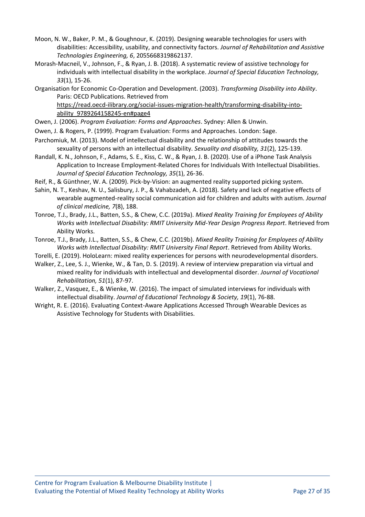- Moon, N. W., Baker, P. M., & Goughnour, K. (2019). Designing wearable technologies for users with disabilities: Accessibility, usability, and connectivity factors. *Journal of Rehabilitation and Assistive Technologies Engineering, 6*, 2055668319862137.
- Morash-Macneil, V., Johnson, F., & Ryan, J. B. (2018). A systematic review of assistive technology for individuals with intellectual disability in the workplace. *Journal of Special Education Technology, 33*(1), 15-26.
- Organisation for Economic Co-Operation and Development. (2003). *Transforming Disability into Ability*. Paris: OECD Publications. Retrieved from

https://read.oecd-ilibrary.org/social-issues-migration-health/transforming-disability-intoability\_9789264158245-en#page4

Owen, J. (2006). *Program Evaluation: Forms and Approaches*. Sydney: Allen & Unwin.

- Owen, J. & Rogers, P. (1999). Program Evaluation: Forms and Approaches. London: Sage.
- Parchomiuk, M. (2013). Model of intellectual disability and the relationship of attitudes towards the sexuality of persons with an intellectual disability. *Sexuality and disability, 31*(2), 125-139.
- Randall, K. N., Johnson, F., Adams, S. E., Kiss, C. W., & Ryan, J. B. (2020). Use of a iPhone Task Analysis Application to Increase Employment-Related Chores for Individuals With Intellectual Disabilities. *Journal of Special Education Technology, 35*(1), 26-36.
- Reif, R., & Günthner, W. A. (2009). Pick-by-Vision: an augmented reality supported picking system.
- Sahin, N. T., Keshav, N. U., Salisbury, J. P., & Vahabzadeh, A. (2018). Safety and lack of negative effects of wearable augmented-reality social communication aid for children and adults with autism. *Journal of clinical medicine, 7*(8), 188.
- Tonroe, T.J., Brady, J.L., Batten, S.S., & Chew, C.C. (2019a). *Mixed Reality Training for Employees of Ability Works with Intellectual Disability: RMIT University Mid-Year Design Progress Report*. Retrieved from Ability Works.
- Tonroe, T.J., Brady, J.L., Batten, S.S., & Chew, C.C. (2019b). *Mixed Reality Training for Employees of Ability Works with Intellectual Disability: RMIT University Final Report*. Retrieved from Ability Works.
- Torelli, E. (2019). HoloLearn: mixed reality experiences for persons with neurodevelopmental disorders.
- Walker, Z., Lee, S. J., Wienke, W., & Tan, D. S. (2019). A review of interview preparation via virtual and mixed reality for individuals with intellectual and developmental disorder. *Journal of Vocational Rehabilitation, 51*(1), 87-97.
- Walker, Z., Vasquez, E., & Wienke, W. (2016). The impact of simulated interviews for individuals with intellectual disability. *Journal of Educational Technology & Society, 19*(1), 76-88.
- Wright, R. E. (2016). Evaluating Context-Aware Applications Accessed Through Wearable Devices as Assistive Technology for Students with Disabilities.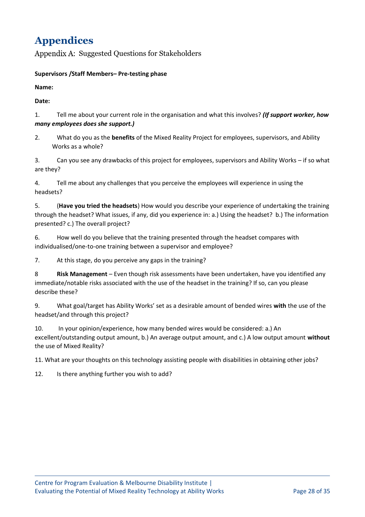# <span id="page-27-0"></span>**Appendices**

<span id="page-27-1"></span>Appendix A: Suggested Questions for Stakeholders

#### **Supervisors /Staff Members– Pre-testing phase**

**Name:**

**Date:** 

1. Tell me about your current role in the organisation and what this involves? *(If support worker, how many employees does she support.)*

2. What do you as the **benefits** of the Mixed Reality Project for employees, supervisors, and Ability Works as a whole?

3. Can you see any drawbacks of this project for employees, supervisors and Ability Works – if so what are they?

4. Tell me about any challenges that you perceive the employees will experience in using the headsets?

5. (**Have you tried the headsets**) How would you describe your experience of undertaking the training through the headset? What issues, if any, did you experience in: a.) Using the headset? b.) The information presented? c.) The overall project?

6. How well do you believe that the training presented through the headset compares with individualised/one-to-one training between a supervisor and employee?

7. At this stage, do you perceive any gaps in the training?

8 **Risk Management** – Even though risk assessments have been undertaken, have you identified any immediate/notable risks associated with the use of the headset in the training? If so, can you please describe these?

9. What goal/target has Ability Works' set as a desirable amount of bended wires **with** the use of the headset/and through this project?

10. In your opinion/experience, how many bended wires would be considered: a.) An excellent/outstanding output amount, b.) An average output amount, and c.) A low output amount **without** the use of Mixed Reality?

11. What are your thoughts on this technology assisting people with disabilities in obtaining other jobs?

12. Is there anything further you wish to add?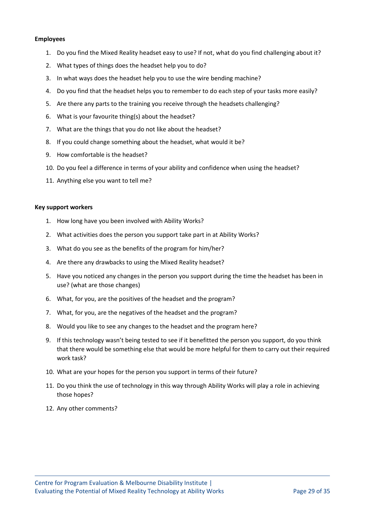#### **Employees**

- 1. Do you find the Mixed Reality headset easy to use? If not, what do you find challenging about it?
- 2. What types of things does the headset help you to do?
- 3. In what ways does the headset help you to use the wire bending machine?
- 4. Do you find that the headset helps you to remember to do each step of your tasks more easily?
- 5. Are there any parts to the training you receive through the headsets challenging?
- 6. What is your favourite thing(s) about the headset?
- 7. What are the things that you do not like about the headset?
- 8. If you could change something about the headset, what would it be?
- 9. How comfortable is the headset?
- 10. Do you feel a difference in terms of your ability and confidence when using the headset?
- 11. Anything else you want to tell me?

#### **Key support workers**

- 1. How long have you been involved with Ability Works?
- 2. What activities does the person you support take part in at Ability Works?
- 3. What do you see as the benefits of the program for him/her?
- 4. Are there any drawbacks to using the Mixed Reality headset?
- 5. Have you noticed any changes in the person you support during the time the headset has been in use? (what are those changes)
- 6. What, for you, are the positives of the headset and the program?
- 7. What, for you, are the negatives of the headset and the program?
- 8. Would you like to see any changes to the headset and the program here?
- 9. If this technology wasn't being tested to see if it benefitted the person you support, do you think that there would be something else that would be more helpful for them to carry out their required work task?
- 10. What are your hopes for the person you support in terms of their future?
- 11. Do you think the use of technology in this way through Ability Works will play a role in achieving those hopes?
- 12. Any other comments?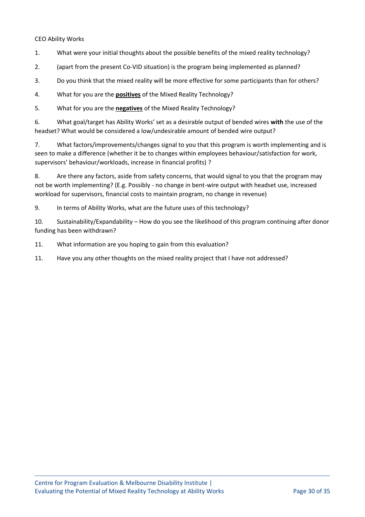#### CEO Ability Works

- 1. What were your initial thoughts about the possible benefits of the mixed reality technology?
- 2. (apart from the present Co-VID situation) is the program being implemented as planned?
- 3. Do you think that the mixed reality will be more effective for some participants than for others?
- 4. What for you are the **positives** of the Mixed Reality Technology?
- 5. What for you are the **negatives** of the Mixed Reality Technology?

6. What goal/target has Ability Works' set as a desirable output of bended wires **with** the use of the headset? What would be considered a low/undesirable amount of bended wire output?

7. What factors/improvements/changes signal to you that this program is worth implementing and is seen to make a difference (whether it be to changes within employees behaviour/satisfaction for work, supervisors' behaviour/workloads, increase in financial profits) ?

8. Are there any factors, aside from safety concerns, that would signal to you that the program may not be worth implementing? (E.g. Possibly - no change in bent-wire output with headset use, increased workload for supervisors, financial costs to maintain program, no change in revenue)

9. In terms of Ability Works, what are the future uses of this technology?

10. Sustainability/Expandability – How do you see the likelihood of this program continuing after donor funding has been withdrawn?

11. What information are you hoping to gain from this evaluation?

11. Have you any other thoughts on the mixed reality project that I have not addressed?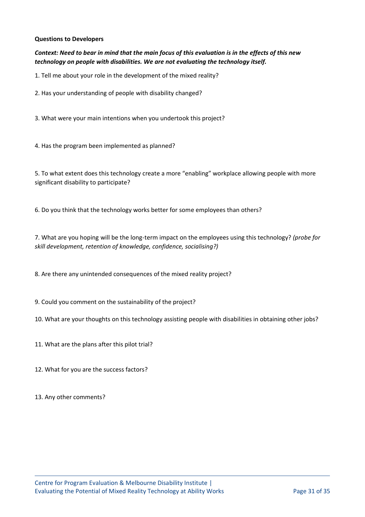#### **Questions to Developers**

#### *Context: Need to bear in mind that the main focus of this evaluation is in the effects of this new technology on people with disabilities. We are not evaluating the technology itself.*

1. Tell me about your role in the development of the mixed reality?

2. Has your understanding of people with disability changed?

3. What were your main intentions when you undertook this project?

4. Has the program been implemented as planned?

5. To what extent does this technology create a more "enabling" workplace allowing people with more significant disability to participate?

6. Do you think that the technology works better for some employees than others?

7. What are you hoping will be the long-term impact on the employees using this technology? *(probe for skill development, retention of knowledge, confidence, socialising?)*

8. Are there any unintended consequences of the mixed reality project?

9. Could you comment on the sustainability of the project?

10. What are your thoughts on this technology assisting people with disabilities in obtaining other jobs?

11. What are the plans after this pilot trial?

12. What for you are the success factors?

13. Any other comments?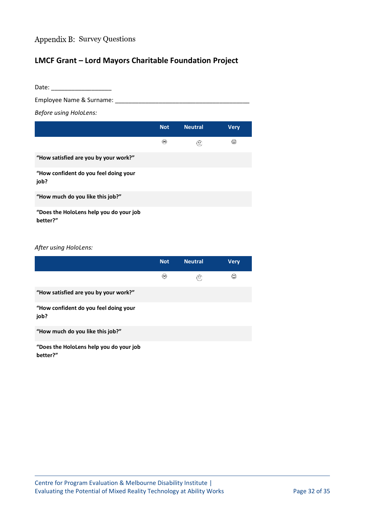# <span id="page-31-0"></span>Appendix B: Survey Questions

# **LMCF Grant – Lord Mayors Charitable Foundation Project**

| Date:                                               |            |                            |             |  |  |  |
|-----------------------------------------------------|------------|----------------------------|-------------|--|--|--|
| Employee Name & Surname:                            |            |                            |             |  |  |  |
| <b>Before using HoloLens:</b>                       |            |                            |             |  |  |  |
|                                                     | <b>Not</b> | <b>Neutral</b>             | <b>Very</b> |  |  |  |
|                                                     | ⊛          | $\left(\hat{\cdot}\right)$ | ⊙           |  |  |  |
| "How satisfied are you by your work?"               |            |                            |             |  |  |  |
| "How confident do you feel doing your<br>job?       |            |                            |             |  |  |  |
| "How much do you like this job?"                    |            |                            |             |  |  |  |
| "Does the HoloLens help you do your job<br>better?" |            |                            |             |  |  |  |

#### *After using HoloLens:*

|                                                     | <b>Not</b> | <b>Neutral</b>             | <b>Verv</b> |
|-----------------------------------------------------|------------|----------------------------|-------------|
|                                                     | ⊛          | $\left(\hat{\cdot}\right)$ | ☺           |
| "How satisfied are you by your work?"               |            |                            |             |
| "How confident do you feel doing your<br>job?       |            |                            |             |
| "How much do you like this job?"                    |            |                            |             |
| "Does the HoloLens help you do your job<br>better?" |            |                            |             |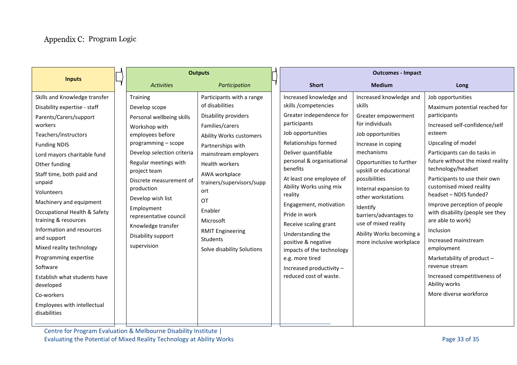<span id="page-32-0"></span>

| <b>Inputs</b>                                                                                                                                                                                                                                                                                                                                                                                                                                                                                                                                                    |  | <b>Outputs</b>                                                                                                                                                                                                                                                                                                                                             |                                                                                                                                                                                                                                                                                                                                                        | <b>Outcomes - Impact</b>                                                                                                                                                                                                                                                                                                                                                                                                                                                                          |                                                                                                                                                                                                                                                                                                                                                                                  |                                                                                                                                                                                                                                                                                                                                                                                                                                                                                                                                                                                              |
|------------------------------------------------------------------------------------------------------------------------------------------------------------------------------------------------------------------------------------------------------------------------------------------------------------------------------------------------------------------------------------------------------------------------------------------------------------------------------------------------------------------------------------------------------------------|--|------------------------------------------------------------------------------------------------------------------------------------------------------------------------------------------------------------------------------------------------------------------------------------------------------------------------------------------------------------|--------------------------------------------------------------------------------------------------------------------------------------------------------------------------------------------------------------------------------------------------------------------------------------------------------------------------------------------------------|---------------------------------------------------------------------------------------------------------------------------------------------------------------------------------------------------------------------------------------------------------------------------------------------------------------------------------------------------------------------------------------------------------------------------------------------------------------------------------------------------|----------------------------------------------------------------------------------------------------------------------------------------------------------------------------------------------------------------------------------------------------------------------------------------------------------------------------------------------------------------------------------|----------------------------------------------------------------------------------------------------------------------------------------------------------------------------------------------------------------------------------------------------------------------------------------------------------------------------------------------------------------------------------------------------------------------------------------------------------------------------------------------------------------------------------------------------------------------------------------------|
|                                                                                                                                                                                                                                                                                                                                                                                                                                                                                                                                                                  |  | <b>Activities</b>                                                                                                                                                                                                                                                                                                                                          | Participation                                                                                                                                                                                                                                                                                                                                          | <b>Short</b>                                                                                                                                                                                                                                                                                                                                                                                                                                                                                      | <b>Medium</b>                                                                                                                                                                                                                                                                                                                                                                    | Long                                                                                                                                                                                                                                                                                                                                                                                                                                                                                                                                                                                         |
| Skills and Knowledge transfer<br>Disability expertise - staff<br>Parents/Carers/support<br>workers<br>Teachers/instructors<br><b>Funding NDIS</b><br>Lord mayors charitable fund<br>Other funding<br>Staff time, both paid and<br>unpaid<br>Volunteers<br>Machinery and equipment<br>Occupational Health & Safety<br>training & resources<br>Information and resources<br>and support<br>Mixed reality technology<br>Programming expertise<br>Software<br>Establish what students have<br>developed<br>Co-workers<br>Employees with intellectual<br>disabilities |  | Training<br>Develop scope<br>Personal wellbeing skills<br>Workshop with<br>employees before<br>programming - scope<br>Develop selection criteria<br>Regular meetings with<br>project team<br>Discrete measurement of<br>production<br>Develop wish list<br>Employment<br>representative council<br>Knowledge transfer<br>Disability support<br>supervision | Participants with a range<br>of disabilities<br>Disability providers<br>Families/carers<br>Ability Works customers<br>Partnerships with<br>mainstream employers<br><b>Health workers</b><br>AWA workplace<br>trainers/supervisors/supp<br>ort<br>$\Omega$<br>Enabler<br>Microsoft<br><b>RMIT Engineering</b><br>Students<br>Solve disability Solutions | Increased knowledge and<br>skills /competencies<br>Greater independence for<br>participants<br>Job opportunities<br>Relationships formed<br>Deliver quantifiable<br>personal & organisational<br>benefits<br>At least one employee of<br>Ability Works using mix<br>reality<br>Engagement, motivation<br>Pride in work<br>Receive scaling grant<br>Understanding the<br>positive & negative<br>impacts of the technology<br>e.g. more tired<br>Increased productivity -<br>reduced cost of waste. | Increased knowledge and<br>skills<br>Greater empowerment<br>for individuals<br>Job opportunities<br>Increase in coping<br>mechanisms<br>Opportunities to further<br>upskill or educational<br>possibilities<br>Internal expansion to<br>other workstations<br>Identify<br>barriers/advantages to<br>use of mixed reality<br>Ability Works becoming a<br>more inclusive workplace | Job opportunities<br>Maximum potential reached for<br>participants<br>Increased self-confidence/self<br>esteem<br>Upscaling of model<br>Participants can do tasks in<br>future without the mixed reality<br>technology/headset<br>Participants to use their own<br>customised mixed reality<br>headset - NDIS funded?<br>Improve perception of people<br>with disability (people see they<br>are able to work)<br>Inclusion<br>Increased mainstream<br>employment<br>Marketability of product -<br>revenue stream<br>Increased competitiveness of<br>Ability works<br>More diverse workforce |
|                                                                                                                                                                                                                                                                                                                                                                                                                                                                                                                                                                  |  |                                                                                                                                                                                                                                                                                                                                                            |                                                                                                                                                                                                                                                                                                                                                        |                                                                                                                                                                                                                                                                                                                                                                                                                                                                                                   |                                                                                                                                                                                                                                                                                                                                                                                  |                                                                                                                                                                                                                                                                                                                                                                                                                                                                                                                                                                                              |

Centre for Program Evaluation & Melbourne Disability Institute | Evaluating the Potential of Mixed Reality Technology at Ability Works **Page 33** of 35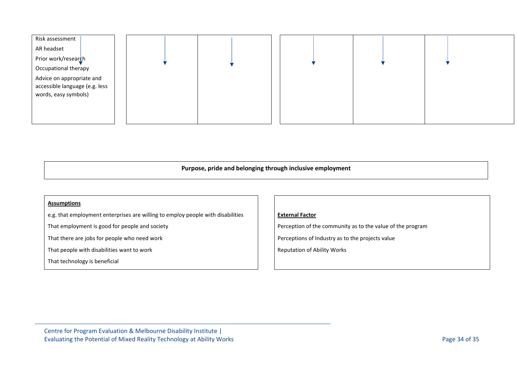



#### **Purpose, pride and belonging through inclusive employment**

#### **Assumptions**

e.g. that employment enterprises are willing to employ people with disabilities

That employment is good for people and society

That there are jobs for people who need work

That people with disabilities want to work

That technology is beneficial

#### **External Factor**

Perception of the community as to the value of the program

Perceptions of Industry as to the projects value

Reputation of Ability Works